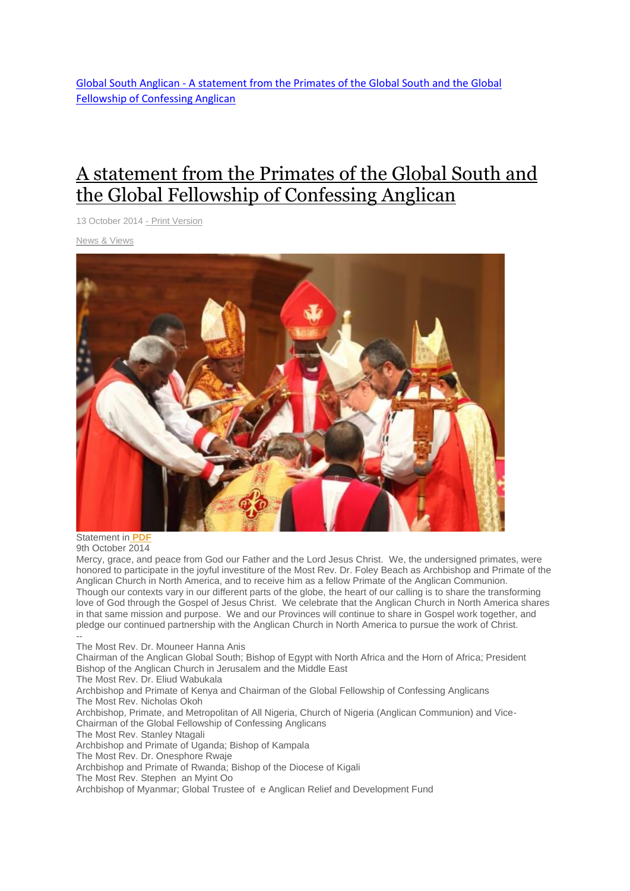Global South Anglican - [A statement from the Primates of the Global South and the Global](http://www.globalsouthanglican.org/blog/comments/a_statement_from_the_primates_of_the_global_south_and_the_global_fellowship)  [Fellowship of Confessing Anglican](http://www.globalsouthanglican.org/blog/comments/a_statement_from_the_primates_of_the_global_south_and_the_global_fellowship)

## A [statement](http://www.globalsouthanglican.org/index.php/blog/comments/a_statement_from_the_primates_of_the_global_south_and_the_global_fellowship) from the Primates of the Global South and the Global Fellowship of [Confessing](http://www.globalsouthanglican.org/index.php/blog/comments/a_statement_from_the_primates_of_the_global_south_and_the_global_fellowship) Anglican

13 October 2014 - Print [Version](http://globalsouthanglican.org/index.php/blog/printing/a_statement_from_the_primates_of_the_global_south_and_the_global_fellowship)

News & [Views](http://globalsouthanglican.org/index.php/archives/category/news_views)



Statement in **[PDF](http://www.globalsouthanglican.org/images/uploads/Primates-Greeting-to-Archbishop-Beach.pdf)** 9th October 2014

Mercy, grace, and peace from God our Father and the Lord Jesus Christ. We, the undersigned primates, were honored to participate in the joyful investiture of the Most Rev. Dr. Foley Beach as Archbishop and Primate of the Anglican Church in North America, and to receive him as a fellow Primate of the Anglican Communion. Though our contexts vary in our different parts of the globe, the heart of our calling is to share the transforming love of God through the Gospel of Jesus Christ. We celebrate that the Anglican Church in North America shares in that same mission and purpose. We and our Provinces will continue to share in Gospel work together, and pledge our continued partnership with the Anglican Church in North America to pursue the work of Christ. --

The Most Rev. Dr. Mouneer Hanna Anis

Chairman of the Anglican Global South; Bishop of Egypt with North Africa and the Horn of Africa; President Bishop of the Anglican Church in Jerusalem and the Middle East

The Most Rev. Dr. Eliud Wabukala

Archbishop and Primate of Kenya and Chairman of the Global Fellowship of Confessing Anglicans The Most Rev. Nicholas Okoh

Archbishop, Primate, and Metropolitan of All Nigeria, Church of Nigeria (Anglican Communion) and Vice-Chairman of the Global Fellowship of Confessing Anglicans

The Most Rev. Stanley Ntagali

Archbishop and Primate of Uganda; Bishop of Kampala

The Most Rev. Dr. Onesphore Rwaje

Archbishop and Primate of Rwanda; Bishop of the Diocese of Kigali

The Most Rev. Stephen an Myint Oo

Archbishop of Myanmar; Global Trustee of e Anglican Relief and Development Fund